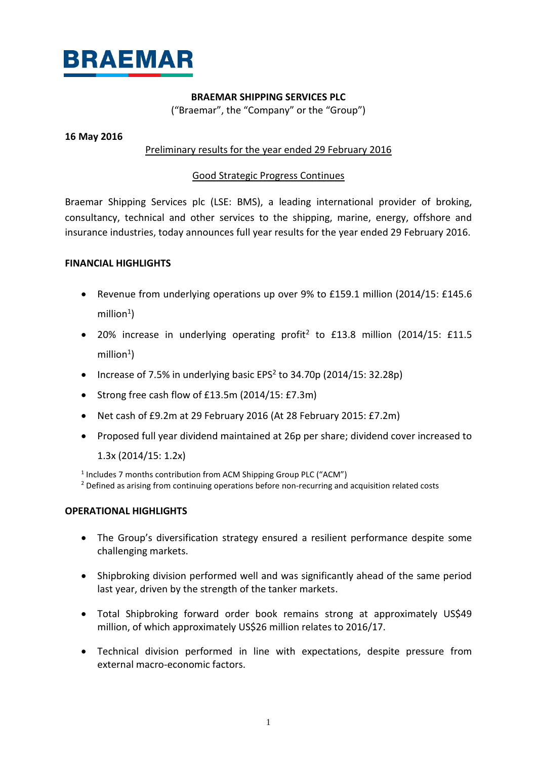

## **BRAEMAR SHIPPING SERVICES PLC**

("Braemar", the "Company" or the "Group")

## **16 May 2016**

## Preliminary results for the year ended 29 February 2016

## Good Strategic Progress Continues

Braemar Shipping Services plc (LSE: BMS), a leading international provider of broking, consultancy, technical and other services to the shipping, marine, energy, offshore and insurance industries, today announces full year results for the year ended 29 February 2016.

## **FINANCIAL HIGHLIGHTS**

- Revenue from underlying operations up over 9% to £159.1 million (2014/15: £145.6  $m$ illion<sup>1</sup>)
- 20% increase in underlying operating profit<sup>2</sup> to £13.8 million (2014/15: £11.5  $m$ illion<sup>1</sup>)
- Increase of 7.5% in underlying basic EPS<sup>2</sup> to 34.70p (2014/15: 32.28p)
- Strong free cash flow of £13.5m (2014/15: £7.3m)
- Net cash of £9.2m at 29 February 2016 (At 28 February 2015: £7.2m)
- Proposed full year dividend maintained at 26p per share; dividend cover increased to

1.3x (2014/15: 1.2x)

<sup>1</sup> Includes 7 months contribution from ACM Shipping Group PLC ("ACM")

<sup>2</sup> Defined as arising from continuing operations before non-recurring and acquisition related costs

## **OPERATIONAL HIGHLIGHTS**

- The Group's diversification strategy ensured a resilient performance despite some challenging markets.
- Shipbroking division performed well and was significantly ahead of the same period last year, driven by the strength of the tanker markets.
- Total Shipbroking forward order book remains strong at approximately US\$49 million, of which approximately US\$26 million relates to 2016/17.
- Technical division performed in line with expectations, despite pressure from external macro-economic factors.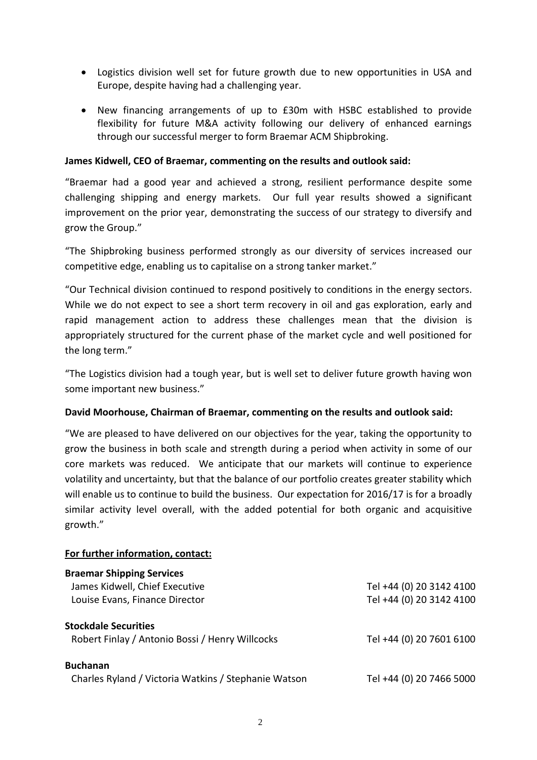- Logistics division well set for future growth due to new opportunities in USA and Europe, despite having had a challenging year.
- New financing arrangements of up to £30m with HSBC established to provide flexibility for future M&A activity following our delivery of enhanced earnings through our successful merger to form Braemar ACM Shipbroking.

## **James Kidwell, CEO of Braemar, commenting on the results and outlook said:**

"Braemar had a good year and achieved a strong, resilient performance despite some challenging shipping and energy markets. Our full year results showed a significant improvement on the prior year, demonstrating the success of our strategy to diversify and grow the Group."

"The Shipbroking business performed strongly as our diversity of services increased our competitive edge, enabling us to capitalise on a strong tanker market."

"Our Technical division continued to respond positively to conditions in the energy sectors. While we do not expect to see a short term recovery in oil and gas exploration, early and rapid management action to address these challenges mean that the division is appropriately structured for the current phase of the market cycle and well positioned for the long term."

"The Logistics division had a tough year, but is well set to deliver future growth having won some important new business."

## **David Moorhouse, Chairman of Braemar, commenting on the results and outlook said:**

"We are pleased to have delivered on our objectives for the year, taking the opportunity to grow the business in both scale and strength during a period when activity in some of our core markets was reduced. We anticipate that our markets will continue to experience volatility and uncertainty, but that the balance of our portfolio creates greater stability which will enable us to continue to build the business. Our expectation for 2016/17 is for a broadly similar activity level overall, with the added potential for both organic and acquisitive growth."

## **For further information, contact:**

| <b>Braemar Shipping Services</b>                     |                          |
|------------------------------------------------------|--------------------------|
| James Kidwell, Chief Executive                       | Tel +44 (0) 20 3142 4100 |
| Louise Evans, Finance Director                       | Tel +44 (0) 20 3142 4100 |
| <b>Stockdale Securities</b>                          |                          |
| Robert Finlay / Antonio Bossi / Henry Willcocks      | Tel +44 (0) 20 7601 6100 |
| <b>Buchanan</b>                                      |                          |
| Charles Ryland / Victoria Watkins / Stephanie Watson | Tel +44 (0) 20 7466 5000 |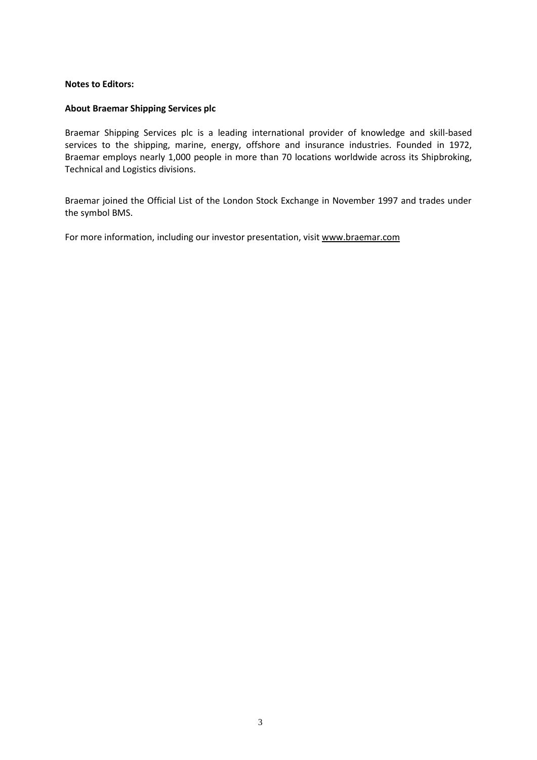### **Notes to Editors:**

### **About Braemar Shipping Services plc**

Braemar Shipping Services plc is a leading international provider of knowledge and skill-based services to the shipping, marine, energy, offshore and insurance industries. Founded in 1972, Braemar employs nearly 1,000 people in more than 70 locations worldwide across its Shipbroking, Technical and Logistics divisions.

Braemar joined the Official List of the London Stock Exchange in November 1997 and trades under the symbol BMS.

For more information, including our investor presentation, visit [www.braemar.com](http://www.braemar.com/)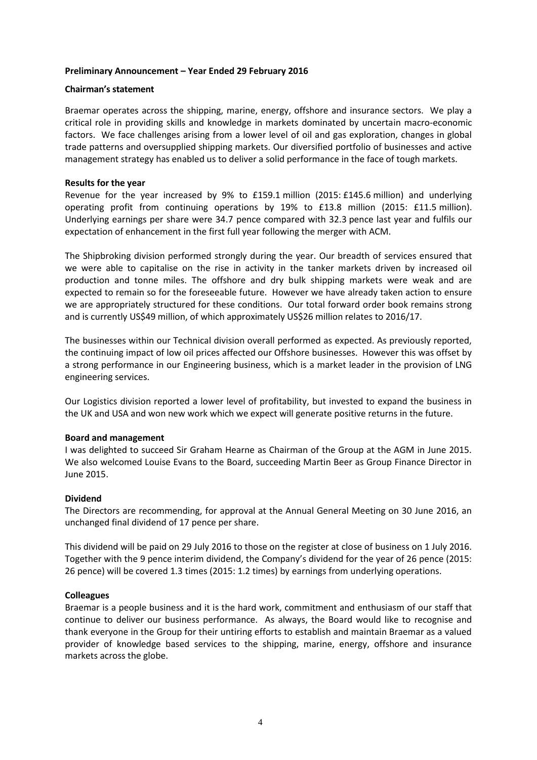### **Preliminary Announcement – Year Ended 29 February 2016**

### **Chairman's statement**

Braemar operates across the shipping, marine, energy, offshore and insurance sectors. We play a critical role in providing skills and knowledge in markets dominated by uncertain macro-economic factors. We face challenges arising from a lower level of oil and gas exploration, changes in global trade patterns and oversupplied shipping markets. Our diversified portfolio of businesses and active management strategy has enabled us to deliver a solid performance in the face of tough markets.

#### **Results for the year**

Revenue for the year increased by 9% to £159.1 million (2015: £145.6 million) and underlying operating profit from continuing operations by 19% to £13.8 million (2015: £11.5 million). Underlying earnings per share were 34.7 pence compared with 32.3 pence last year and fulfils our expectation of enhancement in the first full year following the merger with ACM.

The Shipbroking division performed strongly during the year. Our breadth of services ensured that we were able to capitalise on the rise in activity in the tanker markets driven by increased oil production and tonne miles. The offshore and dry bulk shipping markets were weak and are expected to remain so for the foreseeable future. However we have already taken action to ensure we are appropriately structured for these conditions. Our total forward order book remains strong and is currently US\$49 million, of which approximately US\$26 million relates to 2016/17.

The businesses within our Technical division overall performed as expected. As previously reported, the continuing impact of low oil prices affected our Offshore businesses. However this was offset by a strong performance in our Engineering business, which is a market leader in the provision of LNG engineering services.

Our Logistics division reported a lower level of profitability, but invested to expand the business in the UK and USA and won new work which we expect will generate positive returns in the future.

#### **Board and management**

I was delighted to succeed Sir Graham Hearne as Chairman of the Group at the AGM in June 2015. We also welcomed Louise Evans to the Board, succeeding Martin Beer as Group Finance Director in June 2015.

## **Dividend**

The Directors are recommending, for approval at the Annual General Meeting on 30 June 2016, an unchanged final dividend of 17 pence per share.

This dividend will be paid on 29 July 2016 to those on the register at close of business on 1 July 2016. Together with the 9 pence interim dividend, the Company's dividend for the year of 26 pence (2015: 26 pence) will be covered 1.3 times (2015: 1.2 times) by earnings from underlying operations.

## **Colleagues**

Braemar is a people business and it is the hard work, commitment and enthusiasm of our staff that continue to deliver our business performance. As always, the Board would like to recognise and thank everyone in the Group for their untiring efforts to establish and maintain Braemar as a valued provider of knowledge based services to the shipping, marine, energy, offshore and insurance markets across the globe.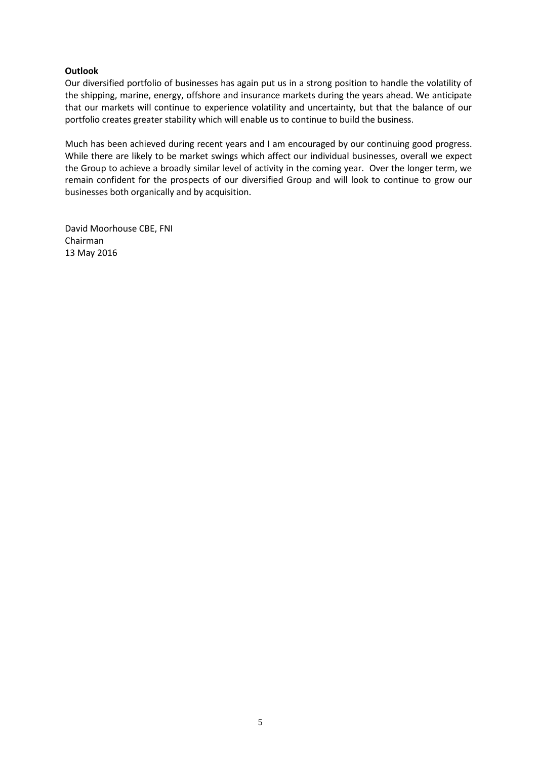## **Outlook**

Our diversified portfolio of businesses has again put us in a strong position to handle the volatility of the shipping, marine, energy, offshore and insurance markets during the years ahead. We anticipate that our markets will continue to experience volatility and uncertainty, but that the balance of our portfolio creates greater stability which will enable us to continue to build the business.

Much has been achieved during recent years and I am encouraged by our continuing good progress. While there are likely to be market swings which affect our individual businesses, overall we expect the Group to achieve a broadly similar level of activity in the coming year. Over the longer term, we remain confident for the prospects of our diversified Group and will look to continue to grow our businesses both organically and by acquisition.

David Moorhouse CBE, FNI Chairman 13 May 2016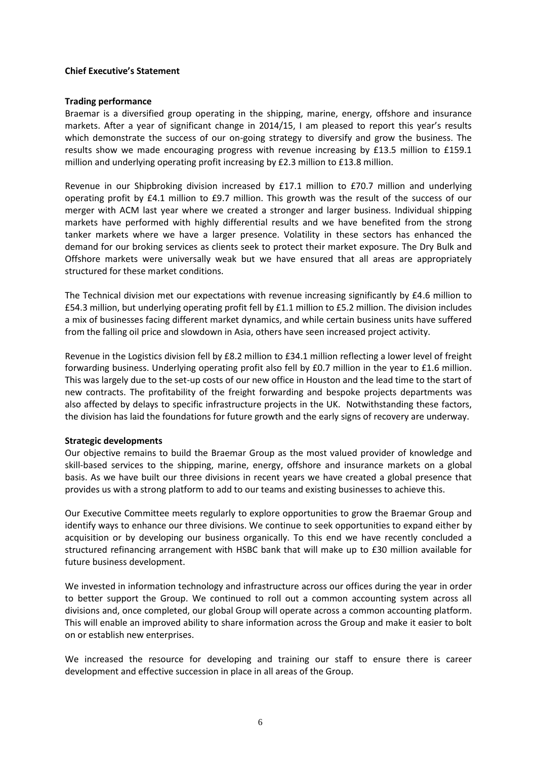### **Chief Executive's Statement**

#### **Trading performance**

Braemar is a diversified group operating in the shipping, marine, energy, offshore and insurance markets. After a year of significant change in 2014/15, I am pleased to report this year's results which demonstrate the success of our on-going strategy to diversify and grow the business. The results show we made encouraging progress with revenue increasing by £13.5 million to £159.1 million and underlying operating profit increasing by £2.3 million to £13.8 million.

Revenue in our Shipbroking division increased by £17.1 million to £70.7 million and underlying operating profit by £4.1 million to £9.7 million. This growth was the result of the success of our merger with ACM last year where we created a stronger and larger business. Individual shipping markets have performed with highly differential results and we have benefited from the strong tanker markets where we have a larger presence. Volatility in these sectors has enhanced the demand for our broking services as clients seek to protect their market exposure. The Dry Bulk and Offshore markets were universally weak but we have ensured that all areas are appropriately structured for these market conditions.

The Technical division met our expectations with revenue increasing significantly by £4.6 million to £54.3 million, but underlying operating profit fell by £1.1 million to £5.2 million. The division includes a mix of businesses facing different market dynamics, and while certain business units have suffered from the falling oil price and slowdown in Asia, others have seen increased project activity.

Revenue in the Logistics division fell by £8.2 million to £34.1 million reflecting a lower level of freight forwarding business. Underlying operating profit also fell by £0.7 million in the year to £1.6 million. This was largely due to the set-up costs of our new office in Houston and the lead time to the start of new contracts. The profitability of the freight forwarding and bespoke projects departments was also affected by delays to specific infrastructure projects in the UK. Notwithstanding these factors, the division has laid the foundations for future growth and the early signs of recovery are underway.

## **Strategic developments**

Our objective remains to build the Braemar Group as the most valued provider of knowledge and skill-based services to the shipping, marine, energy, offshore and insurance markets on a global basis. As we have built our three divisions in recent years we have created a global presence that provides us with a strong platform to add to our teams and existing businesses to achieve this.

Our Executive Committee meets regularly to explore opportunities to grow the Braemar Group and identify ways to enhance our three divisions. We continue to seek opportunities to expand either by acquisition or by developing our business organically. To this end we have recently concluded a structured refinancing arrangement with HSBC bank that will make up to £30 million available for future business development.

We invested in information technology and infrastructure across our offices during the year in order to better support the Group. We continued to roll out a common accounting system across all divisions and, once completed, our global Group will operate across a common accounting platform. This will enable an improved ability to share information across the Group and make it easier to bolt on or establish new enterprises.

We increased the resource for developing and training our staff to ensure there is career development and effective succession in place in all areas of the Group.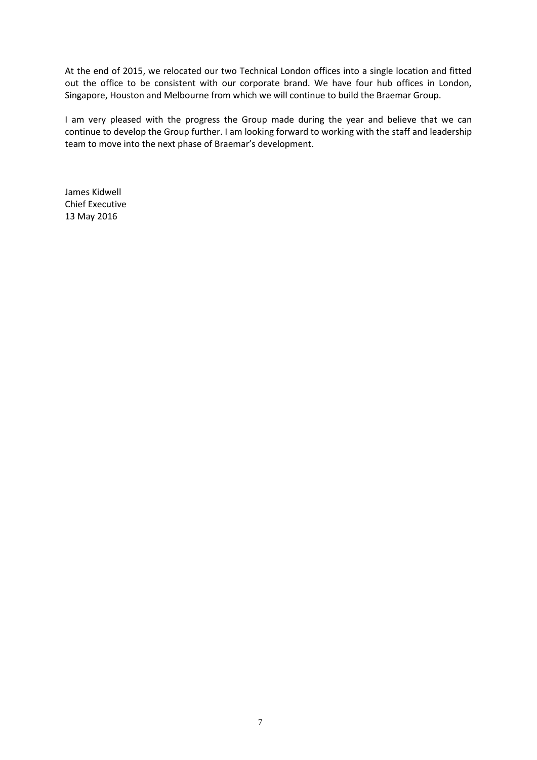At the end of 2015, we relocated our two Technical London offices into a single location and fitted out the office to be consistent with our corporate brand. We have four hub offices in London, Singapore, Houston and Melbourne from which we will continue to build the Braemar Group.

I am very pleased with the progress the Group made during the year and believe that we can continue to develop the Group further. I am looking forward to working with the staff and leadership team to move into the next phase of Braemar's development.

James Kidwell Chief Executive 13 May 2016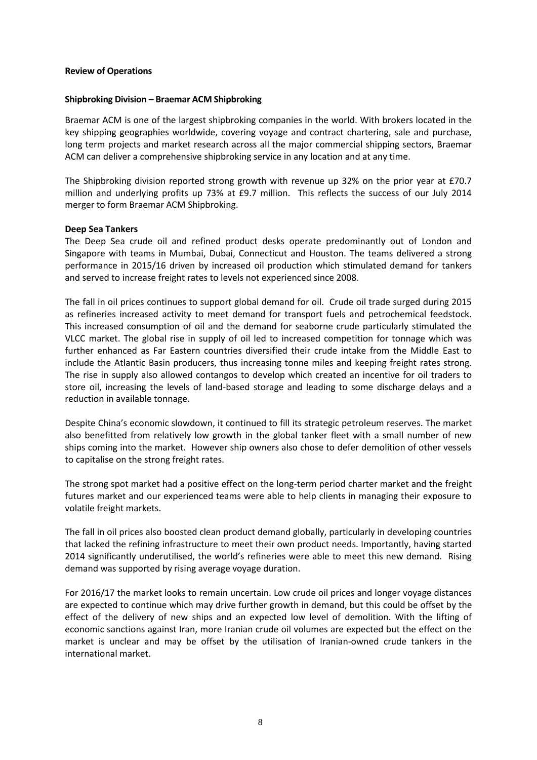### **Review of Operations**

#### **Shipbroking Division – Braemar ACM Shipbroking**

Braemar ACM is one of the largest shipbroking companies in the world. With brokers located in the key shipping geographies worldwide, covering voyage and contract chartering, sale and purchase, long term projects and market research across all the major commercial shipping sectors, Braemar ACM can deliver a comprehensive shipbroking service in any location and at any time.

The Shipbroking division reported strong growth with revenue up 32% on the prior year at £70.7 million and underlying profits up 73% at £9.7 million. This reflects the success of our July 2014 merger to form Braemar ACM Shipbroking.

#### **Deep Sea Tankers**

The Deep Sea crude oil and refined product desks operate predominantly out of London and Singapore with teams in Mumbai, Dubai, Connecticut and Houston. The teams delivered a strong performance in 2015/16 driven by increased oil production which stimulated demand for tankers and served to increase freight rates to levels not experienced since 2008.

The fall in oil prices continues to support global demand for oil. Crude oil trade surged during 2015 as refineries increased activity to meet demand for transport fuels and petrochemical feedstock. This increased consumption of oil and the demand for seaborne crude particularly stimulated the VLCC market. The global rise in supply of oil led to increased competition for tonnage which was further enhanced as Far Eastern countries diversified their crude intake from the Middle East to include the Atlantic Basin producers, thus increasing tonne miles and keeping freight rates strong. The rise in supply also allowed contangos to develop which created an incentive for oil traders to store oil, increasing the levels of land-based storage and leading to some discharge delays and a reduction in available tonnage.

Despite China's economic slowdown, it continued to fill its strategic petroleum reserves. The market also benefitted from relatively low growth in the global tanker fleet with a small number of new ships coming into the market. However ship owners also chose to defer demolition of other vessels to capitalise on the strong freight rates.

The strong spot market had a positive effect on the long-term period charter market and the freight futures market and our experienced teams were able to help clients in managing their exposure to volatile freight markets.

The fall in oil prices also boosted clean product demand globally, particularly in developing countries that lacked the refining infrastructure to meet their own product needs. Importantly, having started 2014 significantly underutilised, the world's refineries were able to meet this new demand. Rising demand was supported by rising average voyage duration.

For 2016/17 the market looks to remain uncertain. Low crude oil prices and longer voyage distances are expected to continue which may drive further growth in demand, but this could be offset by the effect of the delivery of new ships and an expected low level of demolition. With the lifting of economic sanctions against Iran, more Iranian crude oil volumes are expected but the effect on the market is unclear and may be offset by the utilisation of Iranian-owned crude tankers in the international market.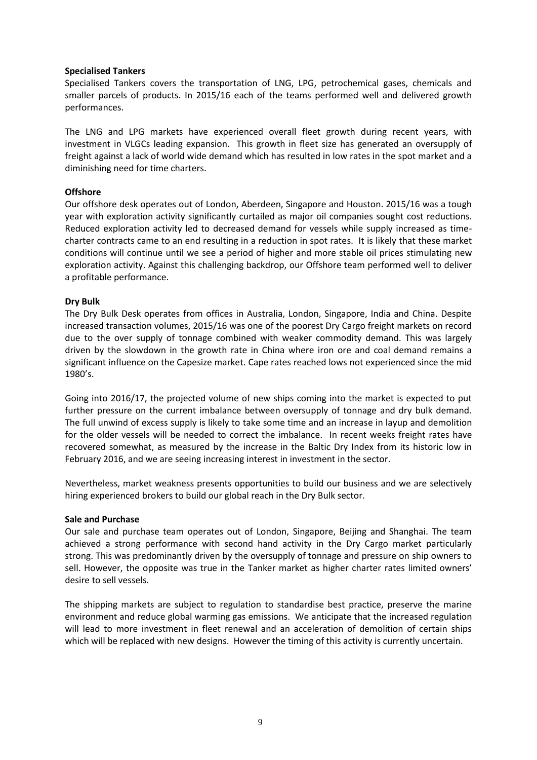### **Specialised Tankers**

Specialised Tankers covers the transportation of LNG, LPG, petrochemical gases, chemicals and smaller parcels of products. In 2015/16 each of the teams performed well and delivered growth performances.

The LNG and LPG markets have experienced overall fleet growth during recent years, with investment in VLGCs leading expansion. This growth in fleet size has generated an oversupply of freight against a lack of world wide demand which has resulted in low rates in the spot market and a diminishing need for time charters.

## **Offshore**

Our offshore desk operates out of London, Aberdeen, Singapore and Houston. 2015/16 was a tough year with exploration activity significantly curtailed as major oil companies sought cost reductions. Reduced exploration activity led to decreased demand for vessels while supply increased as timecharter contracts came to an end resulting in a reduction in spot rates. It is likely that these market conditions will continue until we see a period of higher and more stable oil prices stimulating new exploration activity. Against this challenging backdrop, our Offshore team performed well to deliver a profitable performance.

## **Dry Bulk**

The Dry Bulk Desk operates from offices in Australia, London, Singapore, India and China. Despite increased transaction volumes, 2015/16 was one of the poorest Dry Cargo freight markets on record due to the over supply of tonnage combined with weaker commodity demand. This was largely driven by the slowdown in the growth rate in China where iron ore and coal demand remains a significant influence on the Capesize market. Cape rates reached lows not experienced since the mid 1980's.

Going into 2016/17, the projected volume of new ships coming into the market is expected to put further pressure on the current imbalance between oversupply of tonnage and dry bulk demand. The full unwind of excess supply is likely to take some time and an increase in layup and demolition for the older vessels will be needed to correct the imbalance. In recent weeks freight rates have recovered somewhat, as measured by the increase in the Baltic Dry Index from its historic low in February 2016, and we are seeing increasing interest in investment in the sector.

Nevertheless, market weakness presents opportunities to build our business and we are selectively hiring experienced brokers to build our global reach in the Dry Bulk sector.

## **Sale and Purchase**

Our sale and purchase team operates out of London, Singapore, Beijing and Shanghai. The team achieved a strong performance with second hand activity in the Dry Cargo market particularly strong. This was predominantly driven by the oversupply of tonnage and pressure on ship owners to sell. However, the opposite was true in the Tanker market as higher charter rates limited owners' desire to sell vessels.

The shipping markets are subject to regulation to standardise best practice, preserve the marine environment and reduce global warming gas emissions. We anticipate that the increased regulation will lead to more investment in fleet renewal and an acceleration of demolition of certain ships which will be replaced with new designs. However the timing of this activity is currently uncertain.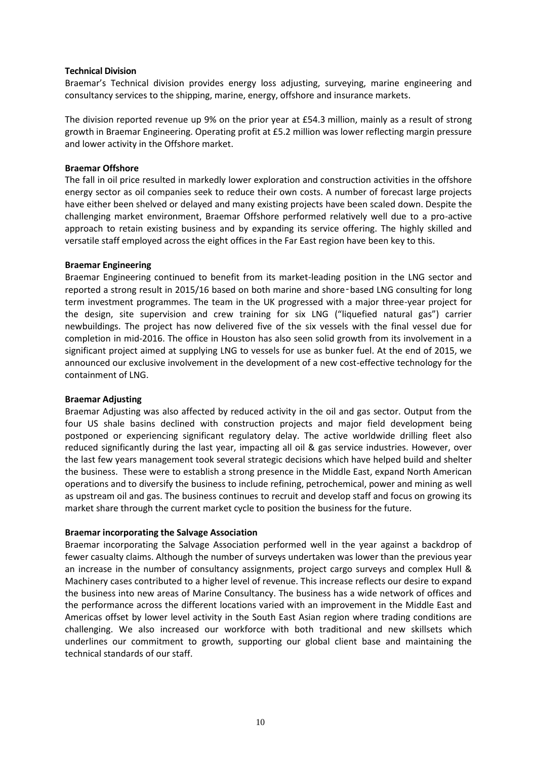#### **Technical Division**

Braemar's Technical division provides energy loss adjusting, surveying, marine engineering and consultancy services to the shipping, marine, energy, offshore and insurance markets.

The division reported revenue up 9% on the prior year at £54.3 million, mainly as a result of strong growth in Braemar Engineering. Operating profit at £5.2 million was lower reflecting margin pressure and lower activity in the Offshore market.

### **Braemar Offshore**

The fall in oil price resulted in markedly lower exploration and construction activities in the offshore energy sector as oil companies seek to reduce their own costs. A number of forecast large projects have either been shelved or delayed and many existing projects have been scaled down. Despite the challenging market environment, Braemar Offshore performed relatively well due to a pro-active approach to retain existing business and by expanding its service offering. The highly skilled and versatile staff employed across the eight offices in the Far East region have been key to this.

#### **Braemar Engineering**

Braemar Engineering continued to benefit from its market-leading position in the LNG sector and reported a strong result in 2015/16 based on both marine and shore-based LNG consulting for long term investment programmes. The team in the UK progressed with a major three-year project for the design, site supervision and crew training for six LNG ("liquefied natural gas") carrier newbuildings. The project has now delivered five of the six vessels with the final vessel due for completion in mid-2016. The office in Houston has also seen solid growth from its involvement in a significant project aimed at supplying LNG to vessels for use as bunker fuel. At the end of 2015, we announced our exclusive involvement in the development of a new cost-effective technology for the containment of LNG.

#### **Braemar Adjusting**

Braemar Adjusting was also affected by reduced activity in the oil and gas sector. Output from the four US shale basins declined with construction projects and major field development being postponed or experiencing significant regulatory delay. The active worldwide drilling fleet also reduced significantly during the last year, impacting all oil & gas service industries. However, over the last few years management took several strategic decisions which have helped build and shelter the business. These were to establish a strong presence in the Middle East, expand North American operations and to diversify the business to include refining, petrochemical, power and mining as well as upstream oil and gas. The business continues to recruit and develop staff and focus on growing its market share through the current market cycle to position the business for the future.

#### **Braemar incorporating the Salvage Association**

Braemar incorporating the Salvage Association performed well in the year against a backdrop of fewer casualty claims. Although the number of surveys undertaken was lower than the previous year an increase in the number of consultancy assignments, project cargo surveys and complex Hull & Machinery cases contributed to a higher level of revenue. This increase reflects our desire to expand the business into new areas of Marine Consultancy. The business has a wide network of offices and the performance across the different locations varied with an improvement in the Middle East and Americas offset by lower level activity in the South East Asian region where trading conditions are challenging. We also increased our workforce with both traditional and new skillsets which underlines our commitment to growth, supporting our global client base and maintaining the technical standards of our staff.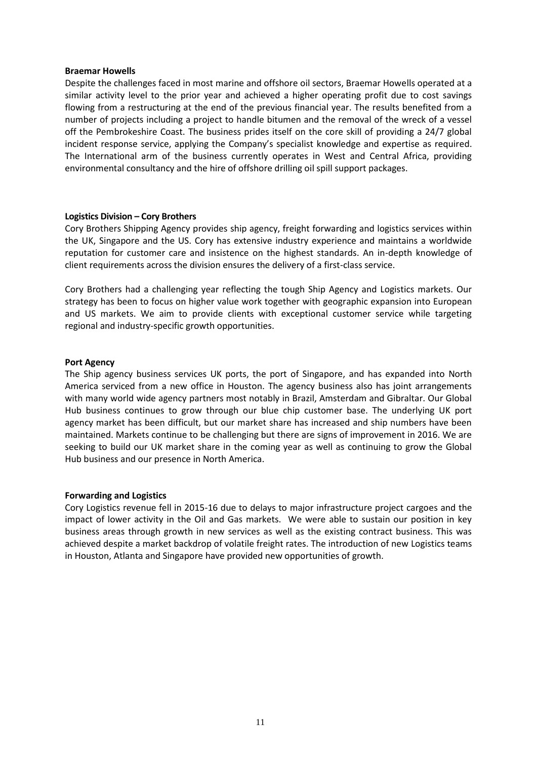#### **Braemar Howells**

Despite the challenges faced in most marine and offshore oil sectors, Braemar Howells operated at a similar activity level to the prior year and achieved a higher operating profit due to cost savings flowing from a restructuring at the end of the previous financial year. The results benefited from a number of projects including a project to handle bitumen and the removal of the wreck of a vessel off the Pembrokeshire Coast. The business prides itself on the core skill of providing a 24/7 global incident response service, applying the Company's specialist knowledge and expertise as required. The International arm of the business currently operates in West and Central Africa, providing environmental consultancy and the hire of offshore drilling oil spill support packages.

#### **Logistics Division – Cory Brothers**

Cory Brothers Shipping Agency provides ship agency, freight forwarding and logistics services within the UK, Singapore and the US. Cory has extensive industry experience and maintains a worldwide reputation for customer care and insistence on the highest standards. An in-depth knowledge of client requirements across the division ensures the delivery of a first-class service.

Cory Brothers had a challenging year reflecting the tough Ship Agency and Logistics markets. Our strategy has been to focus on higher value work together with geographic expansion into European and US markets. We aim to provide clients with exceptional customer service while targeting regional and industry-specific growth opportunities.

#### **Port Agency**

The Ship agency business services UK ports, the port of Singapore, and has expanded into North America serviced from a new office in Houston. The agency business also has joint arrangements with many world wide agency partners most notably in Brazil, Amsterdam and Gibraltar. Our Global Hub business continues to grow through our blue chip customer base. The underlying UK port agency market has been difficult, but our market share has increased and ship numbers have been maintained. Markets continue to be challenging but there are signs of improvement in 2016. We are seeking to build our UK market share in the coming year as well as continuing to grow the Global Hub business and our presence in North America.

#### **Forwarding and Logistics**

Cory Logistics revenue fell in 2015-16 due to delays to major infrastructure project cargoes and the impact of lower activity in the Oil and Gas markets. We were able to sustain our position in key business areas through growth in new services as well as the existing contract business. This was achieved despite a market backdrop of volatile freight rates. The introduction of new Logistics teams in Houston, Atlanta and Singapore have provided new opportunities of growth.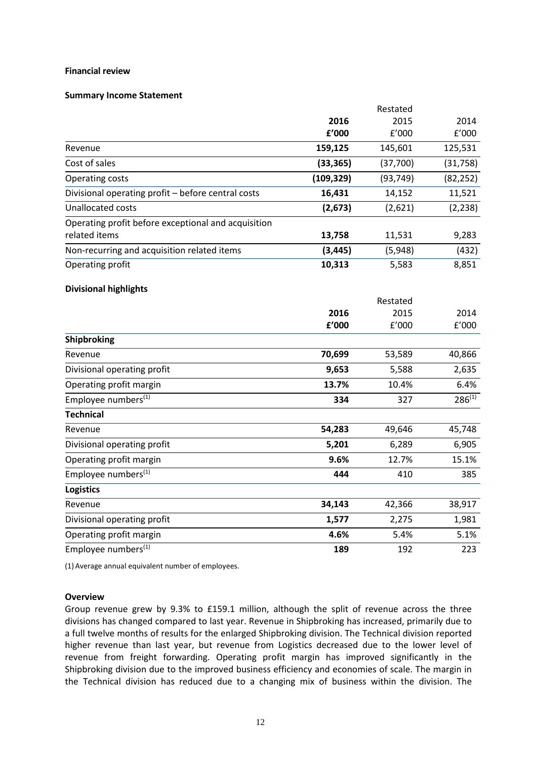#### **Financial review**

#### **Summary Income Statement**

|                                                                      |            | Restated  |             |
|----------------------------------------------------------------------|------------|-----------|-------------|
|                                                                      | 2016       | 2015      | 2014        |
|                                                                      | £'000      | f'000     | f'000       |
| Revenue                                                              | 159,125    | 145,601   | 125,531     |
| Cost of sales                                                        | (33, 365)  | (37,700)  | (31, 758)   |
| Operating costs                                                      | (109, 329) | (93, 749) | (82, 252)   |
| Divisional operating profit - before central costs                   | 16,431     | 14,152    | 11,521      |
| <b>Unallocated costs</b>                                             | (2,673)    | (2,621)   | (2, 238)    |
| Operating profit before exceptional and acquisition<br>related items | 13,758     | 11,531    | 9,283       |
| Non-recurring and acquisition related items                          | (3, 445)   | (5,948)   | (432)       |
| Operating profit                                                     | 10,313     | 5,583     | 8,851       |
|                                                                      |            |           |             |
| <b>Divisional highlights</b>                                         |            |           |             |
|                                                                      |            | Restated  |             |
|                                                                      | 2016       | 2015      | 2014        |
|                                                                      | £'000      | f'000     | f'000       |
| Shipbroking                                                          |            |           |             |
| Revenue                                                              | 70,699     | 53,589    | 40,866      |
| Divisional operating profit                                          | 9,653      | 5,588     | 2,635       |
| Operating profit margin                                              | 13.7%      | 10.4%     | 6.4%        |
| Employee numbers <sup>(1)</sup>                                      | 334        | 327       | $286^{(1)}$ |
| <b>Technical</b>                                                     |            |           |             |
| Revenue                                                              | 54,283     | 49,646    | 45,748      |
| Divisional operating profit                                          | 5,201      | 6,289     | 6,905       |
| Operating profit margin                                              | 9.6%       | 12.7%     | 15.1%       |
| Employee numbers <sup>(1)</sup>                                      | 444        | 410       | 385         |
| <b>Logistics</b>                                                     |            |           |             |
| Revenue                                                              | 34,143     | 42,366    | 38,917      |
| Divisional operating profit                                          | 1,577      | 2,275     | 1,981       |
| Operating profit margin                                              | 4.6%       | 5.4%      | 5.1%        |
| Employee numbers <sup>(1)</sup>                                      | 189        | 192       | 223         |

(1) Average annual equivalent number of employees.

#### **Overview**

Group revenue grew by 9.3% to £159.1 million, although the split of revenue across the three divisions has changed compared to last year. Revenue in Shipbroking has increased, primarily due to a full twelve months of results for the enlarged Shipbroking division. The Technical division reported higher revenue than last year, but revenue from Logistics decreased due to the lower level of revenue from freight forwarding. Operating profit margin has improved significantly in the Shipbroking division due to the improved business efficiency and economies of scale. The margin in the Technical division has reduced due to a changing mix of business within the division. The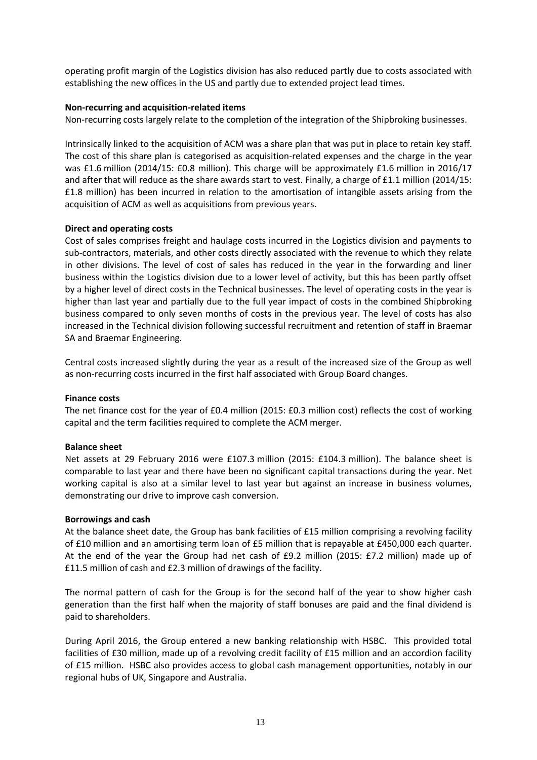operating profit margin of the Logistics division has also reduced partly due to costs associated with establishing the new offices in the US and partly due to extended project lead times.

## **Non-recurring and acquisition-related items**

Non-recurring costs largely relate to the completion of the integration of the Shipbroking businesses.

Intrinsically linked to the acquisition of ACM was a share plan that was put in place to retain key staff. The cost of this share plan is categorised as acquisition-related expenses and the charge in the year was £1.6 million (2014/15: £0.8 million). This charge will be approximately £1.6 million in 2016/17 and after that will reduce as the share awards start to vest. Finally, a charge of £1.1 million (2014/15: £1.8 million) has been incurred in relation to the amortisation of intangible assets arising from the acquisition of ACM as well as acquisitions from previous years.

## **Direct and operating costs**

Cost of sales comprises freight and haulage costs incurred in the Logistics division and payments to sub-contractors, materials, and other costs directly associated with the revenue to which they relate in other divisions. The level of cost of sales has reduced in the year in the forwarding and liner business within the Logistics division due to a lower level of activity, but this has been partly offset by a higher level of direct costs in the Technical businesses. The level of operating costs in the year is higher than last year and partially due to the full year impact of costs in the combined Shipbroking business compared to only seven months of costs in the previous year. The level of costs has also increased in the Technical division following successful recruitment and retention of staff in Braemar SA and Braemar Engineering.

Central costs increased slightly during the year as a result of the increased size of the Group as well as non-recurring costs incurred in the first half associated with Group Board changes.

## **Finance costs**

The net finance cost for the year of £0.4 million (2015: £0.3 million cost) reflects the cost of working capital and the term facilities required to complete the ACM merger.

## **Balance sheet**

Net assets at 29 February 2016 were £107.3 million (2015: £104.3 million). The balance sheet is comparable to last year and there have been no significant capital transactions during the year. Net working capital is also at a similar level to last year but against an increase in business volumes, demonstrating our drive to improve cash conversion.

## **Borrowings and cash**

At the balance sheet date, the Group has bank facilities of £15 million comprising a revolving facility of £10 million and an amortising term loan of £5 million that is repayable at £450,000 each quarter. At the end of the year the Group had net cash of £9.2 million (2015: £7.2 million) made up of £11.5 million of cash and £2.3 million of drawings of the facility.

The normal pattern of cash for the Group is for the second half of the year to show higher cash generation than the first half when the majority of staff bonuses are paid and the final dividend is paid to shareholders.

During April 2016, the Group entered a new banking relationship with HSBC. This provided total facilities of £30 million, made up of a revolving credit facility of £15 million and an accordion facility of £15 million. HSBC also provides access to global cash management opportunities, notably in our regional hubs of UK, Singapore and Australia.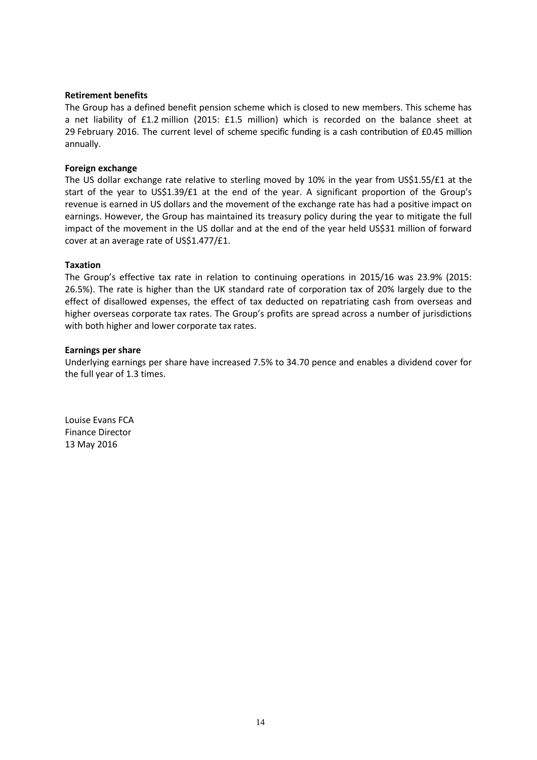#### **Retirement benefits**

The Group has a defined benefit pension scheme which is closed to new members. This scheme has a net liability of £1.2 million (2015: £1.5 million) which is recorded on the balance sheet at 29 February 2016. The current level of scheme specific funding is a cash contribution of £0.45 million annually.

#### **Foreign exchange**

The US dollar exchange rate relative to sterling moved by 10% in the year from US\$1.55/ $£1$  at the start of the year to US\$1.39/£1 at the end of the year. A significant proportion of the Group's revenue is earned in US dollars and the movement of the exchange rate has had a positive impact on earnings. However, the Group has maintained its treasury policy during the year to mitigate the full impact of the movement in the US dollar and at the end of the year held US\$31 million of forward cover at an average rate of US\$1.477/£1.

#### **Taxation**

The Group's effective tax rate in relation to continuing operations in 2015/16 was 23.9% (2015: 26.5%). The rate is higher than the UK standard rate of corporation tax of 20% largely due to the effect of disallowed expenses, the effect of tax deducted on repatriating cash from overseas and higher overseas corporate tax rates. The Group's profits are spread across a number of jurisdictions with both higher and lower corporate tax rates.

#### **Earnings per share**

Underlying earnings per share have increased 7.5% to 34.70 pence and enables a dividend cover for the full year of 1.3 times.

Louise Evans FCA Finance Director 13 May 2016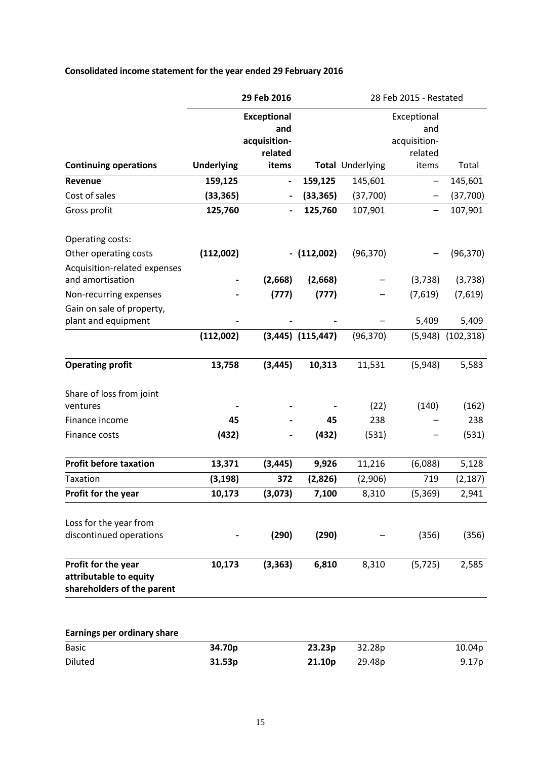| Consolidated income statement for the year ended 29 February 2016 |  |  |
|-------------------------------------------------------------------|--|--|
|-------------------------------------------------------------------|--|--|

|                                                                             |                   | 29 Feb 2016                                          | 28 Feb 2015 - Restated |                  |                                               |            |
|-----------------------------------------------------------------------------|-------------------|------------------------------------------------------|------------------------|------------------|-----------------------------------------------|------------|
|                                                                             |                   | <b>Exceptional</b><br>and<br>acquisition-<br>related |                        |                  | Exceptional<br>and<br>acquisition-<br>related |            |
| <b>Continuing operations</b>                                                | <b>Underlying</b> | items                                                |                        | Total Underlying | items                                         | Total      |
| Revenue                                                                     | 159,125           | $\overline{\phantom{a}}$                             | 159,125                | 145,601          | —                                             | 145,601    |
| Cost of sales                                                               | (33, 365)         |                                                      | (33, 365)              | (37,700)         |                                               | (37,700)   |
| Gross profit                                                                | 125,760           |                                                      | 125,760                | 107,901          |                                               | 107,901    |
| Operating costs:                                                            |                   |                                                      |                        |                  |                                               |            |
| Other operating costs<br>Acquisition-related expenses                       | (112,002)         |                                                      | $-$ (112,002)          | (96, 370)        |                                               | (96, 370)  |
| and amortisation                                                            |                   | (2,668)                                              | (2,668)                |                  | (3,738)                                       | (3,738)    |
| Non-recurring expenses                                                      |                   | (777)                                                | (777)                  |                  | (7,619)                                       | (7,619)    |
| Gain on sale of property,<br>plant and equipment                            |                   |                                                      |                        |                  | 5,409                                         | 5,409      |
|                                                                             | (112,002)         |                                                      | $(3,445)$ $(115,447)$  | (96, 370)        | (5,948)                                       | (102, 318) |
| <b>Operating profit</b>                                                     | 13,758            | (3, 445)                                             | 10,313                 | 11,531           | (5,948)                                       | 5,583      |
| Share of loss from joint<br>ventures                                        |                   |                                                      |                        | (22)             | (140)                                         | (162)      |
| Finance income                                                              | 45                |                                                      | 45                     | 238              |                                               | 238        |
| Finance costs                                                               | (432)             |                                                      | (432)                  | (531)            |                                               | (531)      |
| <b>Profit before taxation</b>                                               | 13,371            | (3, 445)                                             | 9,926                  | 11,216           | (6,088)                                       | 5,128      |
| Taxation                                                                    | (3, 198)          | 372                                                  | (2,826)                | (2,906)          | 719                                           | (2, 187)   |
| Profit for the year                                                         | 10,173            | (3,073)                                              | 7,100                  | 8,310            | (5, 369)                                      | 2,941      |
| Loss for the year from                                                      |                   |                                                      |                        |                  |                                               |            |
| discontinued operations                                                     |                   | (290)                                                | (290)                  |                  | (356)                                         | (356)      |
| Profit for the year<br>attributable to equity<br>shareholders of the parent | 10,173            | (3, 363)                                             | 6,810                  | 8,310            | (5, 725)                                      | 2,585      |
| Earnings per ordinary share                                                 |                   |                                                      |                        |                  |                                               |            |
| <b>Basic</b>                                                                | 34.70p            |                                                      | 23.23p                 | 32.28p           |                                               | 10.04p     |
| Diluted                                                                     | 31.53p            |                                                      | 21.10p                 | 29.48p           |                                               | 9.17p      |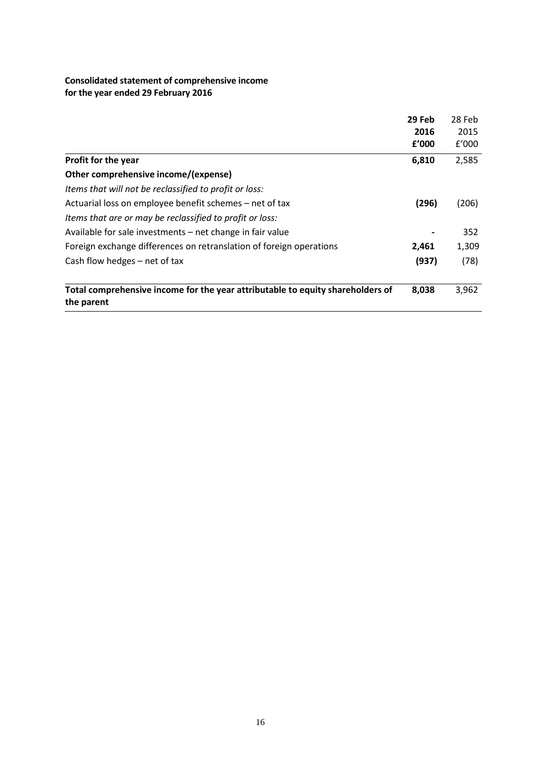## **Consolidated statement of comprehensive income for the year ended 29 February 2016**

|                                                                                              | 29 Feb | 28 Feb |
|----------------------------------------------------------------------------------------------|--------|--------|
|                                                                                              | 2016   | 2015   |
|                                                                                              | f'000  | f'000  |
| Profit for the year                                                                          | 6,810  | 2,585  |
| Other comprehensive income/(expense)                                                         |        |        |
| Items that will not be reclassified to profit or loss:                                       |        |        |
| Actuarial loss on employee benefit schemes – net of tax                                      | (296)  | (206)  |
| Items that are or may be reclassified to profit or loss:                                     |        |        |
| Available for sale investments – net change in fair value                                    |        | 352    |
| Foreign exchange differences on retranslation of foreign operations                          | 2,461  | 1,309  |
| Cash flow hedges - net of tax                                                                | (937)  | (78)   |
| Total comprehensive income for the year attributable to equity shareholders of<br>the parent | 8,038  | 3,962  |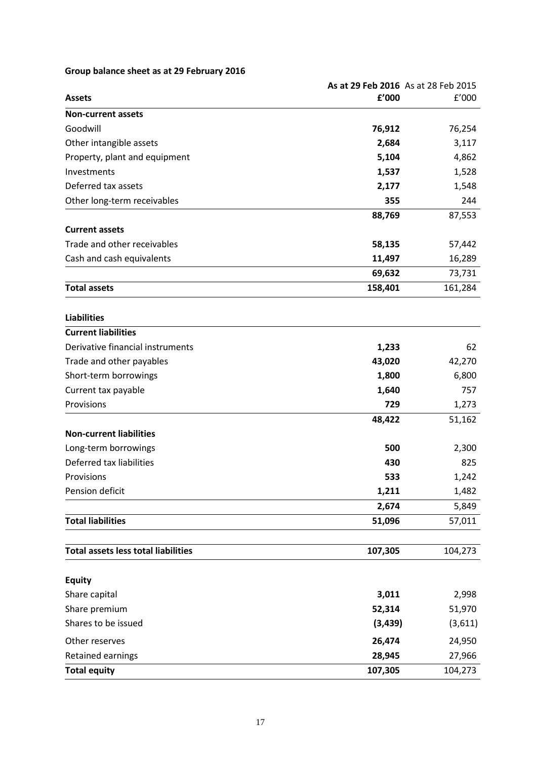## **Group balance sheet as at 29 February 2016**

|                                            |          | As at 29 Feb 2016 As at 28 Feb 2015 |
|--------------------------------------------|----------|-------------------------------------|
| <b>Assets</b>                              | £'000    | f'000                               |
| <b>Non-current assets</b>                  |          |                                     |
| Goodwill                                   | 76,912   | 76,254                              |
| Other intangible assets                    | 2,684    | 3,117                               |
| Property, plant and equipment              | 5,104    | 4,862                               |
| Investments                                | 1,537    | 1,528                               |
| Deferred tax assets                        | 2,177    | 1,548                               |
| Other long-term receivables                | 355      | 244                                 |
|                                            | 88,769   | 87,553                              |
| <b>Current assets</b>                      |          |                                     |
| Trade and other receivables                | 58,135   | 57,442                              |
| Cash and cash equivalents                  | 11,497   | 16,289                              |
|                                            | 69,632   | 73,731                              |
| <b>Total assets</b>                        | 158,401  | 161,284                             |
|                                            |          |                                     |
| <b>Liabilities</b>                         |          |                                     |
| <b>Current liabilities</b>                 |          |                                     |
| Derivative financial instruments           | 1,233    | 62                                  |
| Trade and other payables                   | 43,020   | 42,270                              |
| Short-term borrowings                      | 1,800    | 6,800                               |
| Current tax payable                        | 1,640    | 757                                 |
| Provisions                                 | 729      | 1,273                               |
|                                            | 48,422   | 51,162                              |
| <b>Non-current liabilities</b>             |          |                                     |
| Long-term borrowings                       | 500      | 2,300                               |
| Deferred tax liabilities                   | 430      | 825                                 |
| Provisions                                 | 533      | 1,242                               |
| Pension deficit                            | 1,211    | 1,482                               |
|                                            | 2,674    | 5,849                               |
| <b>Total liabilities</b>                   | 51,096   | 57,011                              |
| <b>Total assets less total liabilities</b> | 107,305  | 104,273                             |
|                                            |          |                                     |
| <b>Equity</b>                              |          |                                     |
| Share capital                              | 3,011    | 2,998                               |
| Share premium                              | 52,314   | 51,970                              |
| Shares to be issued                        | (3, 439) | (3,611)                             |
| Other reserves                             | 26,474   | 24,950                              |
| Retained earnings                          | 28,945   | 27,966                              |
| <b>Total equity</b>                        | 107,305  | 104,273                             |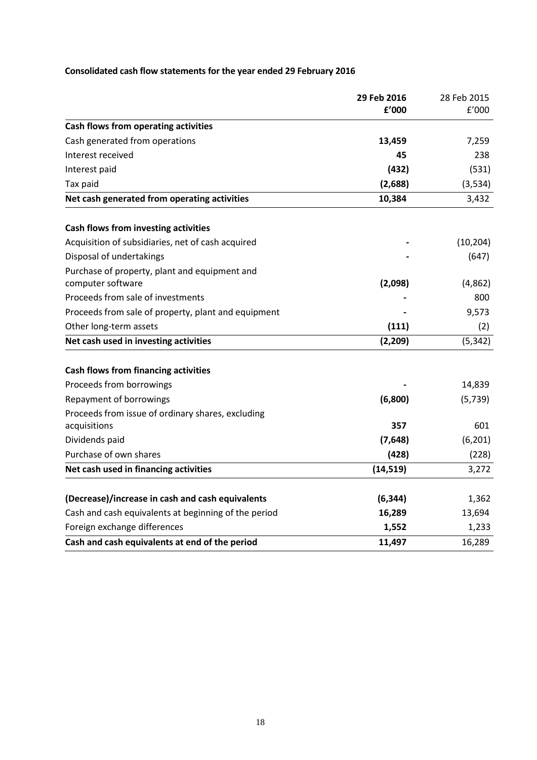# **Consolidated cash flow statements for the year ended 29 February 2016**

|                                                      | 29 Feb 2016 | 28 Feb 2015 |
|------------------------------------------------------|-------------|-------------|
|                                                      | f'000       | f'000       |
| Cash flows from operating activities                 |             |             |
| Cash generated from operations                       | 13,459      | 7,259       |
| Interest received                                    | 45          | 238         |
| Interest paid                                        | (432)       | (531)       |
| Tax paid                                             | (2,688)     | (3, 534)    |
| Net cash generated from operating activities         | 10,384      | 3,432       |
| Cash flows from investing activities                 |             |             |
| Acquisition of subsidiaries, net of cash acquired    |             | (10, 204)   |
| Disposal of undertakings                             |             | (647)       |
| Purchase of property, plant and equipment and        |             |             |
| computer software                                    | (2,098)     | (4,862)     |
| Proceeds from sale of investments                    |             | 800         |
| Proceeds from sale of property, plant and equipment  |             | 9,573       |
| Other long-term assets                               | (111)       | (2)         |
| Net cash used in investing activities                | (2, 209)    | (5, 342)    |
| <b>Cash flows from financing activities</b>          |             |             |
| Proceeds from borrowings                             |             | 14,839      |
| Repayment of borrowings                              | (6,800)     | (5, 739)    |
| Proceeds from issue of ordinary shares, excluding    |             |             |
| acquisitions                                         | 357         | 601         |
| Dividends paid                                       | (7,648)     | (6, 201)    |
| Purchase of own shares                               | (428)       | (228)       |
| Net cash used in financing activities                | (14, 519)   | 3,272       |
| (Decrease)/increase in cash and cash equivalents     | (6, 344)    | 1,362       |
| Cash and cash equivalents at beginning of the period | 16,289      | 13,694      |
| Foreign exchange differences                         | 1,552       | 1,233       |
| Cash and cash equivalents at end of the period       | 11,497      | 16,289      |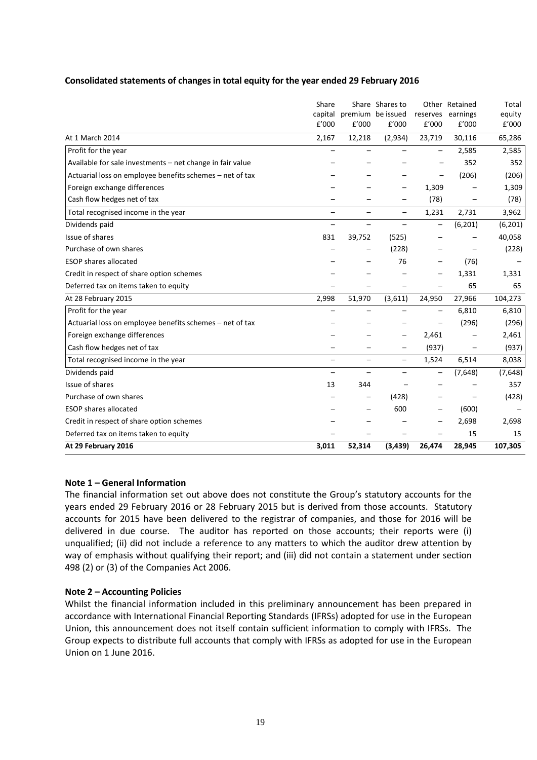## **Consolidated statements of changes in total equity for the year ended 29 February 2016**

| Share |                          |                          |                                                                              |                 | Total                                                                             |
|-------|--------------------------|--------------------------|------------------------------------------------------------------------------|-----------------|-----------------------------------------------------------------------------------|
|       |                          |                          |                                                                              |                 | equity                                                                            |
|       |                          |                          |                                                                              |                 | E'000                                                                             |
|       |                          |                          |                                                                              |                 | 65,286                                                                            |
|       |                          |                          |                                                                              | 2,585           | 2,585                                                                             |
|       |                          |                          |                                                                              | 352             | 352                                                                               |
|       |                          |                          |                                                                              | (206)           | (206)                                                                             |
|       |                          | —                        |                                                                              |                 | 1,309                                                                             |
|       |                          |                          | (78)                                                                         |                 | (78)                                                                              |
|       |                          | $\overline{\phantom{0}}$ |                                                                              | 2,731           | 3,962                                                                             |
|       | -                        | $\overline{\phantom{0}}$ |                                                                              | (6,201)         | (6, 201)                                                                          |
| 831   | 39,752                   | (525)                    |                                                                              |                 | 40,058                                                                            |
|       |                          | (228)                    |                                                                              |                 | (228)                                                                             |
|       |                          | 76                       |                                                                              | (76)            |                                                                                   |
|       |                          |                          |                                                                              | 1,331           | 1,331                                                                             |
|       |                          |                          |                                                                              | 65              | 65                                                                                |
| 2,998 | 51,970                   | (3,611)                  | 24,950                                                                       | 27,966          | 104,273                                                                           |
| —     | $\overline{\phantom{0}}$ | $\overline{\phantom{0}}$ |                                                                              | 6,810           | 6,810                                                                             |
|       |                          |                          |                                                                              | (296)           | (296)                                                                             |
|       |                          |                          | 2,461                                                                        |                 | 2,461                                                                             |
|       |                          |                          |                                                                              |                 | (937)                                                                             |
|       | $\overline{\phantom{0}}$ | $\overline{\phantom{0}}$ | 1,524                                                                        | 6,514           | 8,038                                                                             |
|       |                          |                          |                                                                              | (7,648)         | (7,648)                                                                           |
| 13    | 344                      |                          |                                                                              |                 | 357                                                                               |
|       |                          | (428)                    |                                                                              |                 | (428)                                                                             |
|       |                          | 600                      |                                                                              | (600)           |                                                                                   |
|       |                          |                          |                                                                              | 2,698           | 2,698                                                                             |
|       |                          |                          |                                                                              | 15              | 15                                                                                |
| 3,011 | 52,314                   |                          | 26,474                                                                       | 28,945          | 107,305                                                                           |
|       | E'000<br>2,167           | f'000<br>12,218          | Share Shares to<br>capital premium be issued<br>E'000<br>(2,934)<br>(3, 439) | E'000<br>23,719 | Other Retained<br>reserves earnings<br>£'000<br>30,116<br>1,309<br>1,231<br>(937) |

## **Note 1 – General Information**

The financial information set out above does not constitute the Group's statutory accounts for the years ended 29 February 2016 or 28 February 2015 but is derived from those accounts. Statutory accounts for 2015 have been delivered to the registrar of companies, and those for 2016 will be delivered in due course. The auditor has reported on those accounts; their reports were (i) unqualified; (ii) did not include a reference to any matters to which the auditor drew attention by way of emphasis without qualifying their report; and (iii) did not contain a statement under section 498 (2) or (3) of the Companies Act 2006.

## **Note 2 – Accounting Policies**

Whilst the financial information included in this preliminary announcement has been prepared in accordance with International Financial Reporting Standards (IFRSs) adopted for use in the European Union, this announcement does not itself contain sufficient information to comply with IFRSs. The Group expects to distribute full accounts that comply with IFRSs as adopted for use in the European Union on 1 June 2016.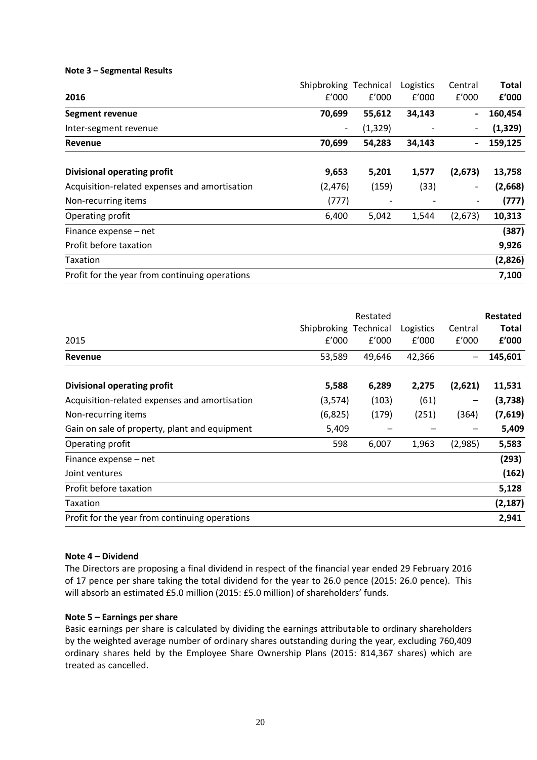## **Note 3 – Segmental Results**

|                                                | Shipbroking Technical    |          | Logistics | Central                  | <b>Total</b> |
|------------------------------------------------|--------------------------|----------|-----------|--------------------------|--------------|
| 2016                                           | f'000                    | f'000    | f'000     | f'000                    | £'000        |
| Segment revenue                                | 70,699                   | 55,612   | 34,143    | $\overline{\phantom{a}}$ | 160,454      |
| Inter-segment revenue                          | $\overline{\phantom{a}}$ | (1, 329) |           |                          | (1, 329)     |
| Revenue                                        | 70,699                   | 54,283   | 34,143    | $\overline{\phantom{0}}$ | 159,125      |
|                                                |                          |          |           |                          |              |
| <b>Divisional operating profit</b>             | 9,653                    | 5,201    | 1,577     | (2,673)                  | 13,758       |
| Acquisition-related expenses and amortisation  | (2, 476)                 | (159)    | (33)      | $\overline{\phantom{0}}$ | (2,668)      |
| Non-recurring items                            | (777)                    |          |           |                          | (777)        |
| Operating profit                               | 6,400                    | 5,042    | 1,544     | (2,673)                  | 10,313       |
| Finance expense - net                          |                          |          |           |                          | (387)        |
| Profit before taxation                         |                          |          |           |                          | 9,926        |
| <b>Taxation</b>                                |                          |          |           |                          | (2,826)      |
| Profit for the year from continuing operations |                          |          |           |                          | 7,100        |

|                                                |                       | Restated |           |                 | <b>Restated</b> |
|------------------------------------------------|-----------------------|----------|-----------|-----------------|-----------------|
|                                                | Shipbroking Technical |          | Logistics | Central         | <b>Total</b>    |
| 2015                                           | f'000                 | f'000    | f'000     | f'000           | £'000           |
| Revenue                                        | 53,589                | 49,646   | 42,366    | $\qquad \qquad$ | 145,601         |
| <b>Divisional operating profit</b>             | 5,588                 | 6,289    | 2,275     | (2,621)         | 11,531          |
| Acquisition-related expenses and amortisation  | (3,574)               | (103)    | (61)      |                 | (3,738)         |
| Non-recurring items                            | (6,825)               | (179)    | (251)     | (364)           | (7,619)         |
| Gain on sale of property, plant and equipment  | 5,409                 |          |           |                 | 5,409           |
| Operating profit                               | 598                   | 6,007    | 1,963     | (2,985)         | 5,583           |
| Finance expense – net                          |                       |          |           |                 | (293)           |
| Joint ventures                                 |                       |          |           |                 | (162)           |
| Profit before taxation                         |                       |          |           |                 | 5,128           |
| Taxation                                       |                       |          |           |                 | (2, 187)        |
| Profit for the year from continuing operations |                       |          |           |                 | 2,941           |

## **Note 4 – Dividend**

The Directors are proposing a final dividend in respect of the financial year ended 29 February 2016 of 17 pence per share taking the total dividend for the year to 26.0 pence (2015: 26.0 pence). This will absorb an estimated £5.0 million (2015: £5.0 million) of shareholders' funds.

## **Note 5 – Earnings per share**

Basic earnings per share is calculated by dividing the earnings attributable to ordinary shareholders by the weighted average number of ordinary shares outstanding during the year, excluding 760,409 ordinary shares held by the Employee Share Ownership Plans (2015: 814,367 shares) which are treated as cancelled.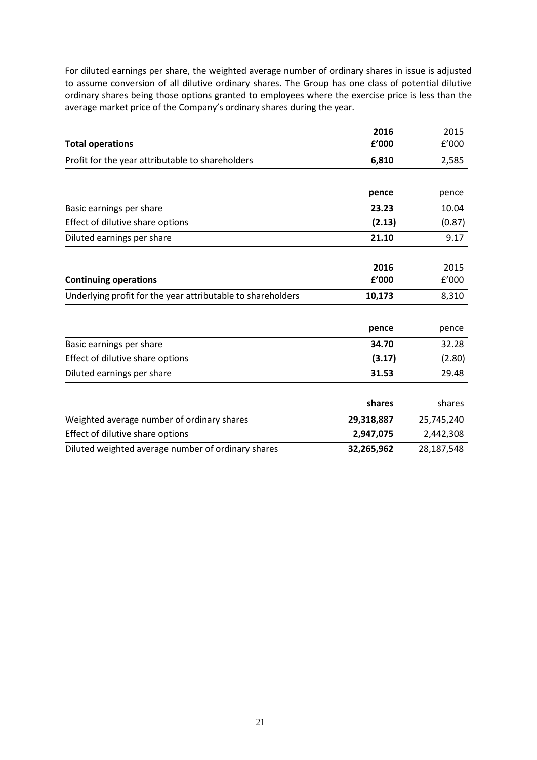For diluted earnings per share, the weighted average number of ordinary shares in issue is adjusted to assume conversion of all dilutive ordinary shares. The Group has one class of potential dilutive ordinary shares being those options granted to employees where the exercise price is less than the average market price of the Company's ordinary shares during the year.

|                                                             | 2016       | 2015       |
|-------------------------------------------------------------|------------|------------|
| <b>Total operations</b>                                     | £'000      | f'000      |
| Profit for the year attributable to shareholders            | 6,810      | 2,585      |
|                                                             |            |            |
|                                                             | pence      | pence      |
| Basic earnings per share                                    | 23.23      | 10.04      |
| Effect of dilutive share options                            | (2.13)     | (0.87)     |
| Diluted earnings per share                                  | 21.10      | 9.17       |
|                                                             |            |            |
|                                                             | 2016       | 2015       |
| <b>Continuing operations</b>                                | f'000      | f'000      |
| Underlying profit for the year attributable to shareholders | 10,173     | 8,310      |
|                                                             |            |            |
|                                                             | pence      | pence      |
| Basic earnings per share                                    | 34.70      | 32.28      |
| Effect of dilutive share options                            | (3.17)     | (2.80)     |
| Diluted earnings per share                                  | 31.53      | 29.48      |
|                                                             |            |            |
|                                                             | shares     | shares     |
| Weighted average number of ordinary shares                  | 29,318,887 | 25,745,240 |
| Effect of dilutive share options                            | 2,947,075  | 2,442,308  |
| Diluted weighted average number of ordinary shares          | 32,265,962 | 28,187,548 |
|                                                             |            |            |